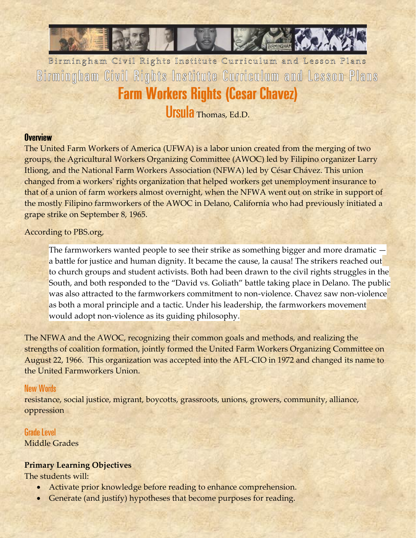

Birmingham Civil Rights Institute Curriculum and Lesson Plans Birmingham Civil Rights Institute Curriculum and Lesson Plans **Farm Workers Rights (Cesar Chavez)** 

Ursula Thomas, Ed.D.

#### **Overview**

The United Farm Workers of America (UFWA) is a labor union created from the merging of two groups, the Agricultural Workers Organizing Committee (AWOC) led by Filipino organizer Larry Itliong, and the National Farm Workers Association (NFWA) led by César Chávez. This union changed from a workers' rights organization that helped workers get unemployment insurance to that of a union of farm workers almost overnight, when the NFWA went out on strike in support of the mostly Filipino farmworkers of the AWOC in Delano, California who had previously initiated a grape strike on September 8, 1965.

#### According to PBS.org,

The farmworkers wanted people to see their strike as something bigger and more dramatic a battle for justice and human dignity. It became the cause, la causa! The strikers reached out to church groups and student activists. Both had been drawn to the civil rights struggles in the South, and both responded to the "David vs. Goliath" battle taking place in Delano. The public was also attracted to the farmworkers commitment to non-violence. Chavez saw non-violence as both a moral principle and a tactic. Under his leadership, the farmworkers movement would adopt non-violence as its guiding philosophy.

The NFWA and the AWOC, recognizing their common goals and methods, and realizing the strengths of coalition formation, jointly formed the United Farm Workers Organizing Committee on August 22, 1966. This organization was accepted into the AFL-CIO in 1972 and changed its name to the United Farmworkers Union.

#### **New Words**

resistance, social justice, migrant, boycotts, grassroots, unions, growers, community, alliance, oppression

#### **Grade Level**

Middle Grades

#### **Primary Learning Objectives**

The students will:

- Activate prior knowledge before reading to enhance comprehension.
- Generate (and justify) hypotheses that become purposes for reading.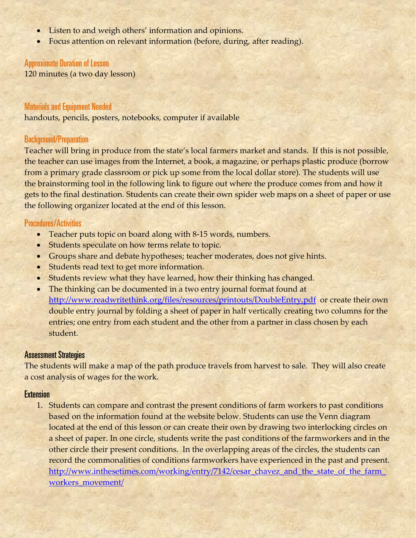- Listen to and weigh others' information and opinions.
- Focus attention on relevant information (before, during, after reading).

#### **Approximate Duration of Lesson**

120 minutes (a two day lesson)

#### **Materials and Equipment Needed**

handouts, pencils, posters, notebooks, computer if available

#### **Background/Preparation**

Teacher will bring in produce from the state's local farmers market and stands. If this is not possible, the teacher can use images from the Internet, a book, a magazine, or perhaps plastic produce (borrow from a primary grade classroom or pick up some from the local dollar store). The students will use the brainstorming tool in the following link to figure out where the produce comes from and how it gets to the final destination. Students can create their own spider web maps on a sheet of paper or use the following organizer located at the end of this lesson.

#### **Procedures/Activities**

- Teacher puts topic on board along with 8-15 words, numbers.
- Students speculate on how terms relate to topic.
- Groups share and debate hypotheses; teacher moderates, does not give hints.
- Students read text to get more information.
- Students review what they have learned, how their thinking has changed.
- The thinking can be documented in a two entry journal format found at <http://www.readwritethink.org/files/resources/printouts/DoubleEntry.pdf>or create their own double entry journal by folding a sheet of paper in half vertically creating two columns for the entries; one entry from each student and the other from a partner in class chosen by each student.

#### **Assessment Strategies**

The students will make a map of the path produce travels from harvest to sale. They will also create a cost analysis of wages for the work.

#### **Extension**

1. Students can compare and contrast the present conditions of farm workers to past conditions based on the information found at the website below. Students can use the Venn diagram located at the end of this lesson or can create their own by drawing two interlocking circles on a sheet of paper. In one circle, students write the past conditions of the farmworkers and in the other circle their present conditions. In the overlapping areas of the circles, the students can record the commonalities of conditions farmworkers have experienced in the past and present. [http://www.inthesetimes.com/working/entry/7142/cesar\\_chavez\\_and\\_the\\_state\\_of\\_the\\_farm\\_](http://www.inthesetimes.com/working/entry/7142/cesar_chavez_and_the_state_of_the_farm_workers_movement/) [workers\\_movement/](http://www.inthesetimes.com/working/entry/7142/cesar_chavez_and_the_state_of_the_farm_workers_movement/)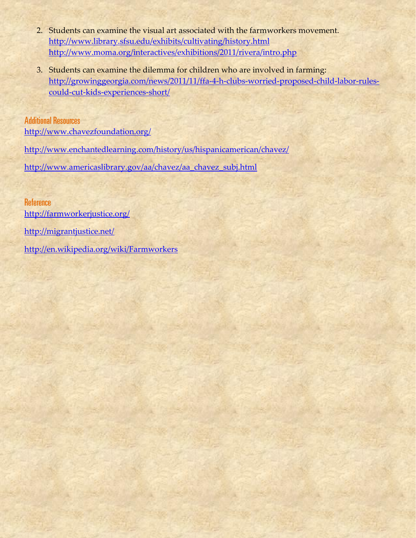- 2. Students can examine the visual art associated with the farmworkers movement. <http://www.library.sfsu.edu/exhibits/cultivating/history.html> <http://www.moma.org/interactives/exhibitions/2011/rivera/intro.php>
- 3. Students can examine the dilemma for children who are involved in farming: [http://growinggeorgia.com/news/2011/11/ffa-4-h-clubs-worried-proposed-child-labor-rules](http://growinggeorgia.com/news/2011/11/ffa-4-h-clubs-worried-proposed-child-labor-rules-could-cut-kids-experiences-short/)[could-cut-kids-experiences-short/](http://growinggeorgia.com/news/2011/11/ffa-4-h-clubs-worried-proposed-child-labor-rules-could-cut-kids-experiences-short/)

**Additional Resources** <http://www.chavezfoundation.org/> <http://www.enchantedlearning.com/history/us/hispanicamerican/chavez/> [http://www.americaslibrary.gov/aa/chavez/aa\\_chavez\\_subj.html](http://www.americaslibrary.gov/aa/chavez/aa_chavez_subj.html)

**Reference** <http://farmworkerjustice.org/> <http://migrantjustice.net/> <http://en.wikipedia.org/wiki/Farmworkers>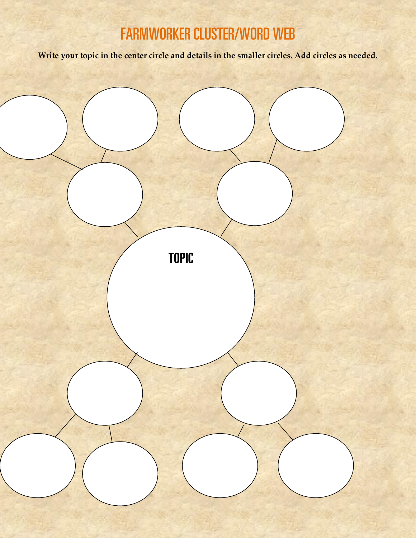# **FARMWORKER CLUSTER/WORD WEB**

**Write your topic in the center circle and details in the smaller circles. Add circles as needed.**

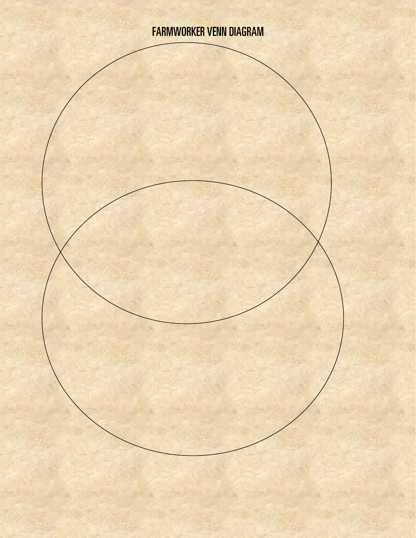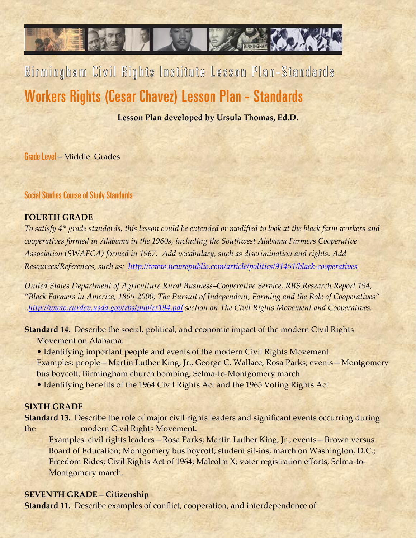# Birmingham Civil Rights Institute Lesson Plan-Standards Workers Rights (Cesar Chavez) Lesson Plan - Standards

**Lesson Plan developed by Ursula Thomas, Ed.D.**

Grade Level – Middle Grades

**Social Studies Course of Study Standards** 

#### **FOURTH GRADE**

*To satisfy 4th grade standards, this lesson could be extended or modified to look at the black farm workers and cooperatives formed in Alabama in the 1960s, including the Southwest Alabama Farmers Cooperative Association (SWAFCA) formed in 1967. Add vocabulary, such as discrimination and rights. Add Resources/References, such as: <http://www.newrepublic.com/article/politics/91451/black-cooperatives>*

*United States Department of Agriculture Rural Business–Cooperative Service, RBS Research Report 194, "Black Farmers in America, 1865-2000, The Pursuit of Independent, Farming and the Role of Cooperatives" .[.http://www.rurdev.usda.gov/rbs/pub/rr194.pdf](http://www.rurdev.usda.gov/rbs/pub/rr194.pdf) section on The Civil Rights Movement and Cooperatives.*

**Standard 14.** Describe the social, political, and economic impact of the modern Civil Rights Movement on Alabama.

• Identifying important people and events of the modern Civil Rights Movement Examples: people—Martin Luther King, Jr., George C. Wallace, Rosa Parks; events—Montgomery bus boycott, Birmingham church bombing, Selma-to-Montgomery march

• Identifying benefits of the 1964 Civil Rights Act and the 1965 Voting Rights Act

#### **SIXTH GRADE**

**Standard 13.** Describe the role of major civil rights leaders and significant events occurring during the modern Civil Rights Movement.

Examples: civil rights leaders—Rosa Parks; Martin Luther King, Jr.; events—Brown versus Board of Education; Montgomery bus boycott; student sit-ins; march on Washington, D.C.; Freedom Rides; Civil Rights Act of 1964; Malcolm X; voter registration efforts; Selma-to-Montgomery march.

#### **SEVENTH GRADE – Citizenship**

**Standard 11.** Describe examples of conflict, cooperation, and interdependence of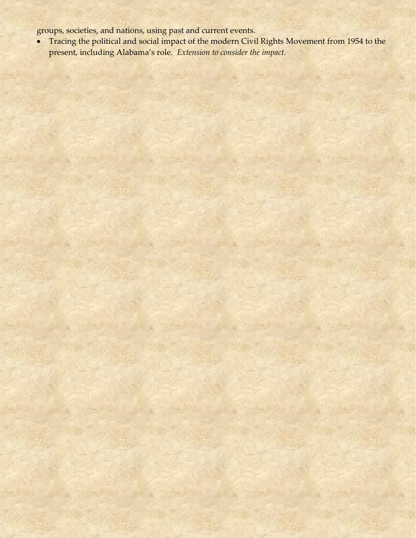groups, societies, and nations, using past and current events.

• Tracing the political and social impact of the modern Civil Rights Movement from 1954 to the present, including Alabama's role. *Extension to consider the impact.*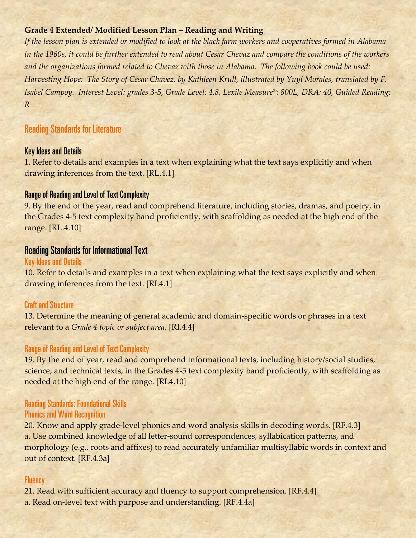#### **Grade 4 Extended/ Modified Lesson Plan – Reading and Writing**

*If the lesson plan is extended or modified to look at the black farm workers and cooperatives formed in Alabama in the 1960s, it could be further extended to read about Cesar Chevaz and compare the conditions of the workers and the organizations formed related to Chevaz with those in Alabama. The following book could be used: Harvesting Hope: The Story of César Chávez, by Kathleen Krull, illustrated by Yuyi Morales, translated by F. Isabel Campoy. Interest Level: grades 3-5, Grade Level: 4.8, Lexile Measure®: 800L, DRA: 40, Guided Reading: R*

# **Reading Standards for Literature**

#### **Key Ideas and Details**

1. Refer to details and examples in a text when explaining what the text says explicitly and when drawing inferences from the text. [RL.4.1]

### **Range of Reading and Level of Text Complexity**

9. By the end of the year, read and comprehend literature, including stories, dramas, and poetry, in the Grades 4-5 text complexity band proficiently, with scaffolding as needed at the high end of the range. [RL.4.10]

# **Reading Standards for Informational Text**

#### **Key Ideas and Details**

10. Refer to details and examples in a text when explaining what the text says explicitly and when drawing inferences from the text. [RI.4.1]

#### **Craft and Structure**

13. Determine the meaning of general academic and domain-specific words or phrases in a text relevant to a *Grade 4 topic or subject area*. [RI.4.4]

#### **Range of Reading and Level of Text Complexity**

19. By the end of year, read and comprehend informational texts, including history/social studies, science, and technical texts, in the Grades 4-5 text complexity band proficiently, with scaffolding as needed at the high end of the range. [RI.4.10]

## **Reading Standards: Foundational Skills Phonics and Word Recognition**

20. Know and apply grade-level phonics and word analysis skills in decoding words. [RF.4.3] a. Use combined knowledge of all letter-sound correspondences, syllabication patterns, and morphology (e.g., roots and affixes) to read accurately unfamiliar multisyllabic words in context and out of context. [RF.4.3a]

#### **Fluency**

21. Read with sufficient accuracy and fluency to support comprehension. [RF.4.4]

a. Read on-level text with purpose and understanding. [RF.4.4a]